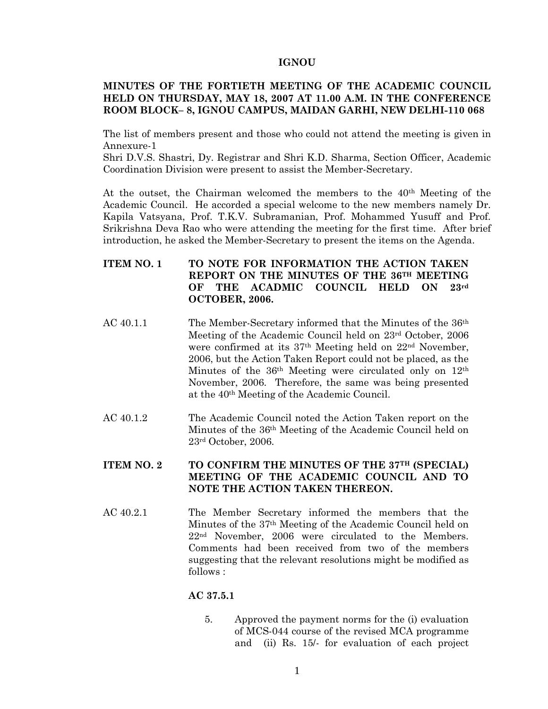#### **IGNOU**

## **MINUTES OF THE FORTIETH MEETING OF THE ACADEMIC COUNCIL HELD ON THURSDAY, MAY 18, 2007 AT 11.00 A.M. IN THE CONFERENCE ROOM BLOCK– 8, IGNOU CAMPUS, MAIDAN GARHI, NEW DELHI-110 068**

The list of members present and those who could not attend the meeting is given in Annexure-1

Shri D.V.S. Shastri, Dy. Registrar and Shri K.D. Sharma, Section Officer, Academic Coordination Division were present to assist the Member-Secretary.

At the outset, the Chairman welcomed the members to the  $40<sup>th</sup>$  Meeting of the Academic Council. He accorded a special welcome to the new members namely Dr. Kapila Vatsyana, Prof. T.K.V. Subramanian, Prof. Mohammed Yusuff and Prof. Srikrishna Deva Rao who were attending the meeting for the first time. After brief introduction, he asked the Member-Secretary to present the items on the Agenda.

- **ITEM NO. 1 TO NOTE FOR INFORMATION THE ACTION TAKEN REPORT ON THE MINUTES OF THE 36TH MEETING OF THE ACADMIC COUNCIL HELD ON 23rd OCTOBER, 2006.**
- AC 40.1.1 The Member-Secretary informed that the Minutes of the 36<sup>th</sup> Meeting of the Academic Council held on 23rd October, 2006 were confirmed at its 37th Meeting held on 22nd November, 2006, but the Action Taken Report could not be placed, as the Minutes of the 36<sup>th</sup> Meeting were circulated only on 12<sup>th</sup> November, 2006. Therefore, the same was being presented at the 40th Meeting of the Academic Council.
- AC 40.1.2 The Academic Council noted the Action Taken report on the Minutes of the 36th Meeting of the Academic Council held on 23rd October, 2006.

## **ITEM NO. 2 TO CONFIRM THE MINUTES OF THE 37TH (SPECIAL) MEETING OF THE ACADEMIC COUNCIL AND TO NOTE THE ACTION TAKEN THEREON.**

AC 40.2.1 The Member Secretary informed the members that the Minutes of the 37th Meeting of the Academic Council held on 22nd November, 2006 were circulated to the Members. Comments had been received from two of the members suggesting that the relevant resolutions might be modified as follows :

## **AC 37.5.1**

5. Approved the payment norms for the (i) evaluation of MCS-044 course of the revised MCA programme and (ii) Rs. 15/- for evaluation of each project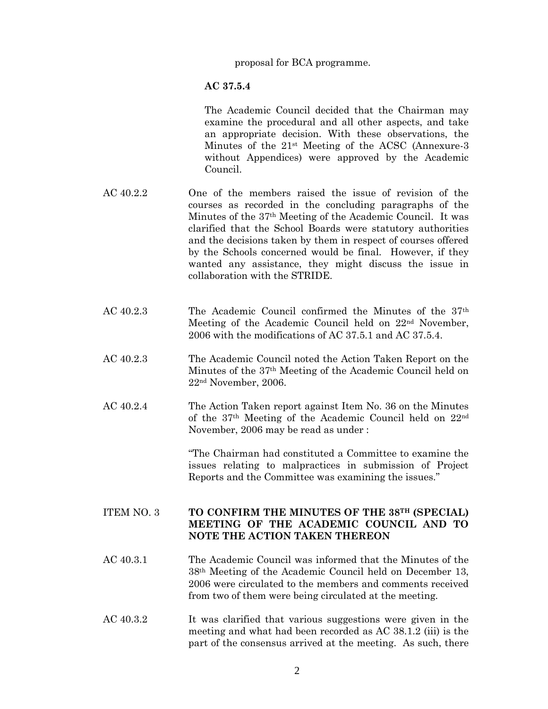proposal for BCA programme.

#### **AC 37.5.4**

The Academic Council decided that the Chairman may examine the procedural and all other aspects, and take an appropriate decision. With these observations, the Minutes of the  $21<sup>st</sup>$  Meeting of the ACSC (Annexure-3) without Appendices) were approved by the Academic Council.

- AC 40.2.2 One of the members raised the issue of revision of the courses as recorded in the concluding paragraphs of the Minutes of the 37th Meeting of the Academic Council. It was clarified that the School Boards were statutory authorities and the decisions taken by them in respect of courses offered by the Schools concerned would be final. However, if they wanted any assistance, they might discuss the issue in collaboration with the STRIDE.
- AC 40.2.3 The Academic Council confirmed the Minutes of the 37th Meeting of the Academic Council held on 22nd November, 2006 with the modifications of AC 37.5.1 and AC 37.5.4.
- AC 40.2.3 The Academic Council noted the Action Taken Report on the Minutes of the 37th Meeting of the Academic Council held on 22nd November, 2006.
- AC 40.2.4 The Action Taken report against Item No. 36 on the Minutes of the 37th Meeting of the Academic Council held on 22nd November, 2006 may be read as under :

"The Chairman had constituted a Committee to examine the issues relating to malpractices in submission of Project Reports and the Committee was examining the issues."

# ITEM NO. 3 **TO CONFIRM THE MINUTES OF THE 38TH (SPECIAL) MEETING OF THE ACADEMIC COUNCIL AND TO NOTE THE ACTION TAKEN THEREON**

- AC 40.3.1 The Academic Council was informed that the Minutes of the 38th Meeting of the Academic Council held on December 13, 2006 were circulated to the members and comments received from two of them were being circulated at the meeting.
- AC 40.3.2 It was clarified that various suggestions were given in the meeting and what had been recorded as AC 38.1.2 (iii) is the part of the consensus arrived at the meeting. As such, there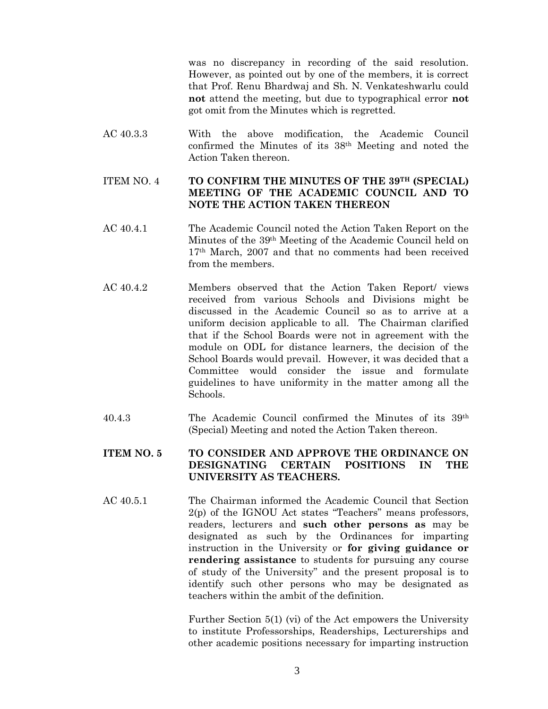was no discrepancy in recording of the said resolution. However, as pointed out by one of the members, it is correct that Prof. Renu Bhardwaj and Sh. N. Venkateshwarlu could **not** attend the meeting, but due to typographical error **not** got omit from the Minutes which is regretted.

AC 40.3.3 With the above modification, the Academic Council confirmed the Minutes of its 38th Meeting and noted the Action Taken thereon.

### ITEM NO. 4 **TO CONFIRM THE MINUTES OF THE 39TH (SPECIAL) MEETING OF THE ACADEMIC COUNCIL AND TO NOTE THE ACTION TAKEN THEREON**

- AC 40.4.1 The Academic Council noted the Action Taken Report on the Minutes of the 39th Meeting of the Academic Council held on 17th March, 2007 and that no comments had been received from the members.
- AC 40.4.2 Members observed that the Action Taken Report/ views received from various Schools and Divisions might be discussed in the Academic Council so as to arrive at a uniform decision applicable to all. The Chairman clarified that if the School Boards were not in agreement with the module on ODL for distance learners, the decision of the School Boards would prevail. However, it was decided that a Committee would consider the issue and formulate guidelines to have uniformity in the matter among all the Schools.
- 40.4.3 The Academic Council confirmed the Minutes of its 39th (Special) Meeting and noted the Action Taken thereon.

# **ITEM NO. 5 TO CONSIDER AND APPROVE THE ORDINANCE ON DESIGNATING CERTAIN POSITIONS IN THE UNIVERSITY AS TEACHERS.**

AC 40.5.1 The Chairman informed the Academic Council that Section 2(p) of the IGNOU Act states "Teachers" means professors, readers, lecturers and **such other persons as** may be designated as such by the Ordinances for imparting instruction in the University or **for giving guidance or rendering assistance** to students for pursuing any course of study of the University" and the present proposal is to identify such other persons who may be designated as teachers within the ambit of the definition.

> Further Section 5(1) (vi) of the Act empowers the University to institute Professorships, Readerships, Lecturerships and other academic positions necessary for imparting instruction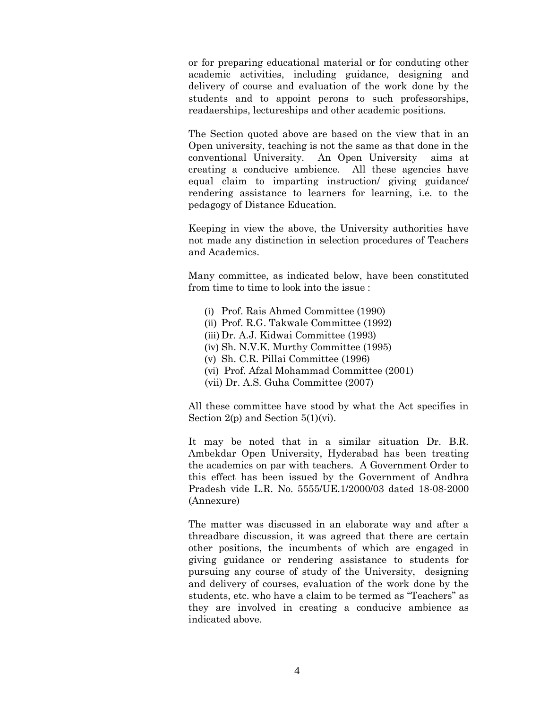or for preparing educational material or for conduting other academic activities, including guidance, designing and delivery of course and evaluation of the work done by the students and to appoint perons to such professorships, readaerships, lectureships and other academic positions.

The Section quoted above are based on the view that in an Open university, teaching is not the same as that done in the conventional University. An Open University aims at creating a conducive ambience. All these agencies have equal claim to imparting instruction/ giving guidance/ rendering assistance to learners for learning, i.e. to the pedagogy of Distance Education.

Keeping in view the above, the University authorities have not made any distinction in selection procedures of Teachers and Academics.

Many committee, as indicated below, have been constituted from time to time to look into the issue :

- (i) Prof. Rais Ahmed Committee (1990)
- (ii) Prof. R.G. Takwale Committee (1992)
- (iii) Dr. A.J. Kidwai Committee (1993)
- (iv) Sh. N.V.K. Murthy Committee (1995)
- (v) Sh. C.R. Pillai Committee (1996)
- (vi) Prof. Afzal Mohammad Committee (2001)
- (vii) Dr. A.S. Guha Committee (2007)

All these committee have stood by what the Act specifies in Section 2(p) and Section 5(1)(vi).

It may be noted that in a similar situation Dr. B.R. Ambekdar Open University, Hyderabad has been treating the academics on par with teachers. A Government Order to this effect has been issued by the Government of Andhra Pradesh vide L.R. No. 5555/UE.1/2000/03 dated 18-08-2000 (Annexure)

The matter was discussed in an elaborate way and after a threadbare discussion, it was agreed that there are certain other positions, the incumbents of which are engaged in giving guidance or rendering assistance to students for pursuing any course of study of the University, designing and delivery of courses, evaluation of the work done by the students, etc. who have a claim to be termed as "Teachers" as they are involved in creating a conducive ambience as indicated above.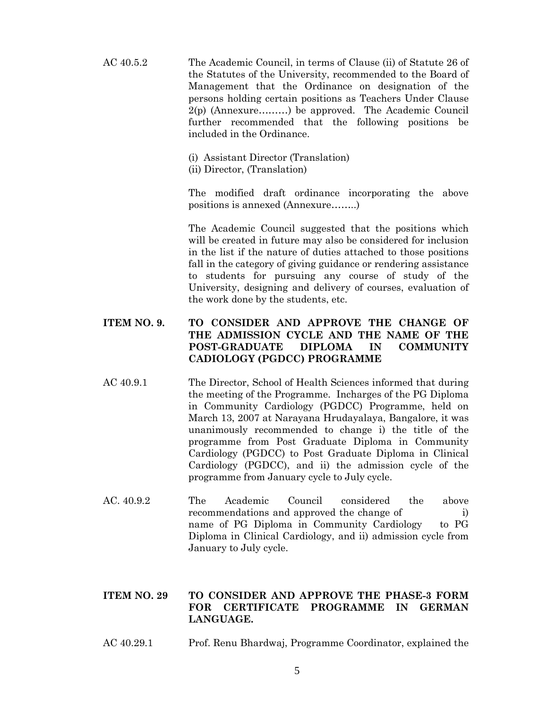- AC 40.5.2 The Academic Council, in terms of Clause (ii) of Statute 26 of the Statutes of the University, recommended to the Board of Management that the Ordinance on designation of the persons holding certain positions as Teachers Under Clause 2(p) (Annexure………) be approved. The Academic Council further recommended that the following positions be included in the Ordinance.
	- (i) Assistant Director (Translation) (ii) Director, (Translation)

The modified draft ordinance incorporating the above positions is annexed (Annexure……..)

The Academic Council suggested that the positions which will be created in future may also be considered for inclusion in the list if the nature of duties attached to those positions fall in the category of giving guidance or rendering assistance to students for pursuing any course of study of the University, designing and delivery of courses, evaluation of the work done by the students, etc.

# **ITEM NO. 9. TO CONSIDER AND APPROVE THE CHANGE OF THE ADMISSION CYCLE AND THE NAME OF THE POST-GRADUATE DIPLOMA IN COMMUNITY CADIOLOGY (PGDCC) PROGRAMME**

- AC 40.9.1 The Director, School of Health Sciences informed that during the meeting of the Programme. Incharges of the PG Diploma in Community Cardiology (PGDCC) Programme, held on March 13, 2007 at Narayana Hrudayalaya, Bangalore, it was unanimously recommended to change i) the title of the programme from Post Graduate Diploma in Community Cardiology (PGDCC) to Post Graduate Diploma in Clinical Cardiology (PGDCC), and ii) the admission cycle of the programme from January cycle to July cycle.
- AC. 40.9.2 The Academic Council considered the above recommendations and approved the change of i) name of PG Diploma in Community Cardiology to PG Diploma in Clinical Cardiology, and ii) admission cycle from January to July cycle.

## **ITEM NO. 29 TO CONSIDER AND APPROVE THE PHASE-3 FORM FOR CERTIFICATE PROGRAMME IN GERMAN LANGUAGE.**

AC 40.29.1 Prof. Renu Bhardwaj, Programme Coordinator, explained the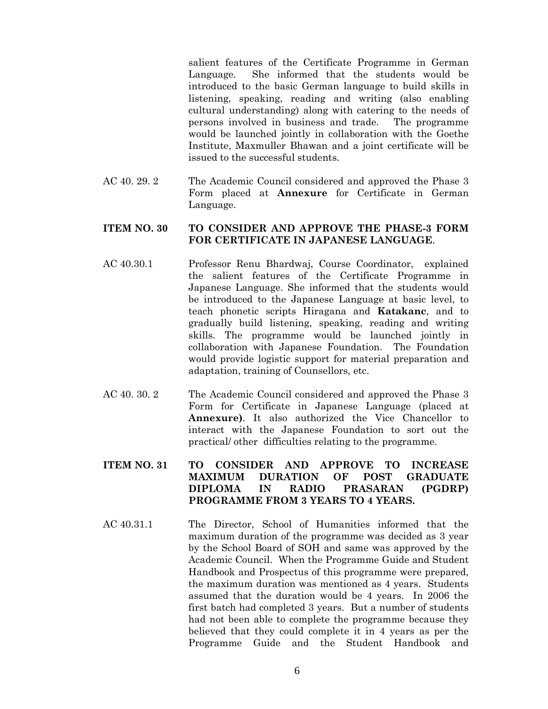salient features of the Certificate Programme in German Language. She informed that the students would be introduced to the basic German language to build skills in listening, speaking, reading and writing (also enabling cultural understanding) along with catering to the needs of persons involved in business and trade. The programme would be launched jointly in collaboration with the Goethe Institute, Maxmuller Bhawan and a joint certificate will be issued to the successful students.

AC 40. 29. 2 The Academic Council considered and approved the Phase 3 Form placed at **Annexure** for Certificate in German Language.

#### **ITEM NO. 30 TO CONSIDER AND APPROVE THE PHASE-3 FORM FOR CERTIFICATE IN JAPANESE LANGUAGE**.

- AC 40.30.1 Professor Renu Bhardwaj, Course Coordinator, explained the salient features of the Certificate Programme in Japanese Language. She informed that the students would be introduced to the Japanese Language at basic level, to teach phonetic scripts Hiragana and **Katakanc**, and to gradually build listening, speaking, reading and writing skills. The programme would be launched jointly in collaboration with Japanese Foundation. The Foundation would provide logistic support for material preparation and adaptation, training of Counsellors, etc.
- AC 40. 30. 2 The Academic Council considered and approved the Phase 3 Form for Certificate in Japanese Language (placed at **Annexure)**. It also authorized the Vice Chancellor to interact with the Japanese Foundation to sort out the practical/ other difficulties relating to the programme.
- **ITEM NO. 31 TO CONSIDER AND APPROVE TO INCREASE MAXIMUM DURATION OF POST GRADUATE DIPLOMA IN RADIO PRASARAN (PGDRP) PROGRAMME FROM 3 YEARS TO 4 YEARS.**
- AC 40.31.1 The Director, School of Humanities informed that the maximum duration of the programme was decided as 3 year by the School Board of SOH and same was approved by the Academic Council. When the Programme Guide and Student Handbook and Prospectus of this programme were prepared, the maximum duration was mentioned as 4 years. Students assumed that the duration would be 4 years. In 2006 the first batch had completed 3 years. But a number of students had not been able to complete the programme because they believed that they could complete it in 4 years as per the Programme Guide and the Student Handbook and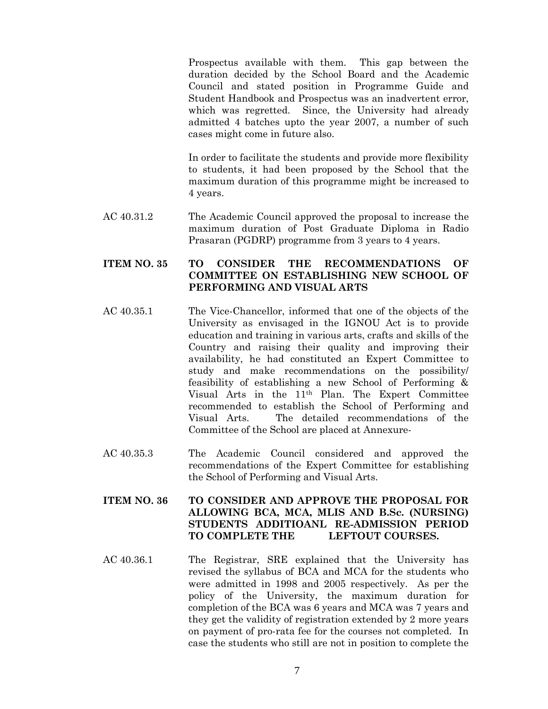Prospectus available with them. This gap between the duration decided by the School Board and the Academic Council and stated position in Programme Guide and Student Handbook and Prospectus was an inadvertent error, which was regretted. Since, the University had already admitted 4 batches upto the year 2007, a number of such cases might come in future also.

In order to facilitate the students and provide more flexibility to students, it had been proposed by the School that the maximum duration of this programme might be increased to 4 years.

AC 40.31.2 The Academic Council approved the proposal to increase the maximum duration of Post Graduate Diploma in Radio Prasaran (PGDRP) programme from 3 years to 4 years.

# **ITEM NO. 35 TO CONSIDER THE RECOMMENDATIONS OF COMMITTEE ON ESTABLISHING NEW SCHOOL OF PERFORMING AND VISUAL ARTS**

- AC 40.35.1 The Vice-Chancellor, informed that one of the objects of the University as envisaged in the IGNOU Act is to provide education and training in various arts, crafts and skills of the Country and raising their quality and improving their availability, he had constituted an Expert Committee to study and make recommendations on the possibility/ feasibility of establishing a new School of Performing & Visual Arts in the 11th Plan. The Expert Committee recommended to establish the School of Performing and Visual Arts. The detailed recommendations of the Committee of the School are placed at Annexure-
- AC 40.35.3 The Academic Council considered and approved the recommendations of the Expert Committee for establishing the School of Performing and Visual Arts.

## **ITEM NO. 36 TO CONSIDER AND APPROVE THE PROPOSAL FOR ALLOWING BCA, MCA, MLIS AND B.Sc. (NURSING) STUDENTS ADDITIOANL RE-ADMISSION PERIOD TO COMPLETE THE LEFTOUT COURSES.**

AC 40.36.1 The Registrar, SRE explained that the University has revised the syllabus of BCA and MCA for the students who were admitted in 1998 and 2005 respectively. As per the policy of the University, the maximum duration for completion of the BCA was 6 years and MCA was 7 years and they get the validity of registration extended by 2 more years on payment of pro-rata fee for the courses not completed. In case the students who still are not in position to complete the